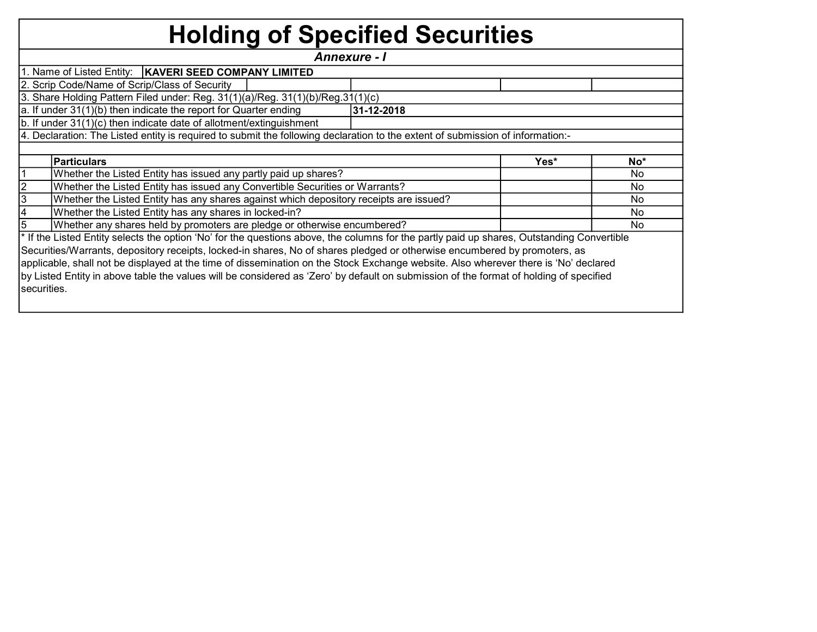## Holding of Specified Securities

| Annexure - I                                                                                                                   |                                                                                                                                            |  |  |     |  |  |  |  |  |  |  |  |  |  |
|--------------------------------------------------------------------------------------------------------------------------------|--------------------------------------------------------------------------------------------------------------------------------------------|--|--|-----|--|--|--|--|--|--|--|--|--|--|
|                                                                                                                                | 1. Name of Listed Entity:   KAVERI SEED COMPANY LIMITED                                                                                    |  |  |     |  |  |  |  |  |  |  |  |  |  |
|                                                                                                                                | 2. Scrip Code/Name of Scrip/Class of Security                                                                                              |  |  |     |  |  |  |  |  |  |  |  |  |  |
|                                                                                                                                | 3. Share Holding Pattern Filed under: Reg. 31(1)(a)/Reg. 31(1)(b)/Reg.31(1)(c)                                                             |  |  |     |  |  |  |  |  |  |  |  |  |  |
| $ a $ . If under 31(1)(b) then indicate the report for Quarter ending<br>31-12-2018                                            |                                                                                                                                            |  |  |     |  |  |  |  |  |  |  |  |  |  |
| b. If under 31(1)(c) then indicate date of allotment/extinguishment                                                            |                                                                                                                                            |  |  |     |  |  |  |  |  |  |  |  |  |  |
| 4. Declaration: The Listed entity is required to submit the following declaration to the extent of submission of information:- |                                                                                                                                            |  |  |     |  |  |  |  |  |  |  |  |  |  |
|                                                                                                                                |                                                                                                                                            |  |  |     |  |  |  |  |  |  |  |  |  |  |
|                                                                                                                                | Particulars<br>Yes*<br>No*                                                                                                                 |  |  |     |  |  |  |  |  |  |  |  |  |  |
|                                                                                                                                | Whether the Listed Entity has issued any partly paid up shares?                                                                            |  |  | No  |  |  |  |  |  |  |  |  |  |  |
|                                                                                                                                | Whether the Listed Entity has issued any Convertible Securities or Warrants?                                                               |  |  | No. |  |  |  |  |  |  |  |  |  |  |
| 3                                                                                                                              | Whether the Listed Entity has any shares against which depository receipts are issued?                                                     |  |  | No. |  |  |  |  |  |  |  |  |  |  |
|                                                                                                                                | Whether the Listed Entity has any shares in locked-in?                                                                                     |  |  | No. |  |  |  |  |  |  |  |  |  |  |
|                                                                                                                                | Whether any shares held by promoters are pledge or otherwise encumbered?                                                                   |  |  | No. |  |  |  |  |  |  |  |  |  |  |
|                                                                                                                                | * If the Listed Entity selects the option 'No' for the questions above, the columns for the partly paid up shares, Outstanding Convertible |  |  |     |  |  |  |  |  |  |  |  |  |  |
|                                                                                                                                | Securities/Warrants, depository receipts, locked-in shares, No of shares pledged or otherwise encumbered by promoters, as                  |  |  |     |  |  |  |  |  |  |  |  |  |  |
|                                                                                                                                | applicable, shall not be displayed at the time of dissemination on the Stock Exchange website. Also wherever there is 'No' declared        |  |  |     |  |  |  |  |  |  |  |  |  |  |
|                                                                                                                                | by Listed Entity in above table the values will be considered as 'Zero' by default on submission of the format of holding of specified     |  |  |     |  |  |  |  |  |  |  |  |  |  |
| securities.                                                                                                                    |                                                                                                                                            |  |  |     |  |  |  |  |  |  |  |  |  |  |
|                                                                                                                                |                                                                                                                                            |  |  |     |  |  |  |  |  |  |  |  |  |  |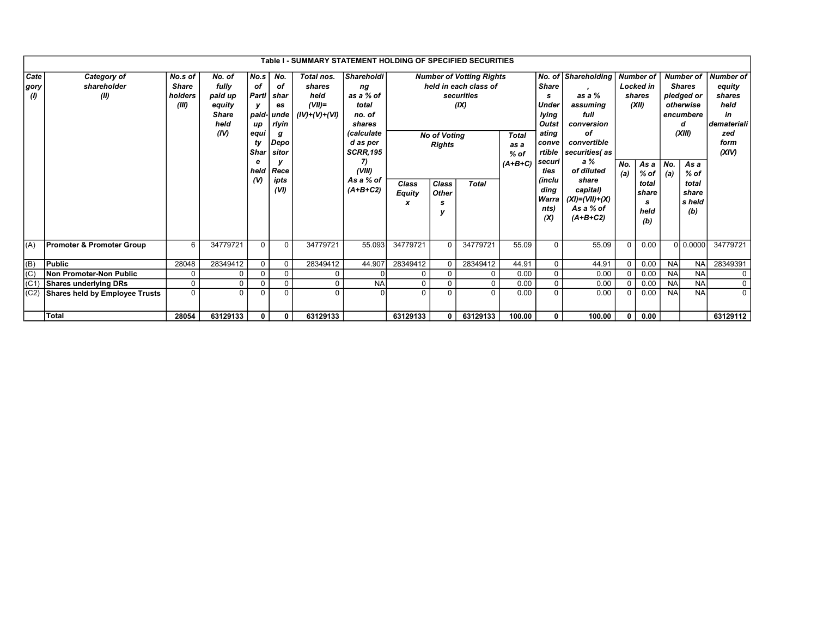|                           | Table I - SUMMARY STATEMENT HOLDING OF SPECIFIED SECURITIES |                                      |                                                                      |                                                                                    |                                                                                              |                                                              |                                                                                                                                                                  |                             |                                                                                                                                        |                                             |                                                                                                                                                        |                                                                                                                                                                                                |            |                                                                                                                 |            |                                                                                                                                               |                                                                                           |          |
|---------------------------|-------------------------------------------------------------|--------------------------------------|----------------------------------------------------------------------|------------------------------------------------------------------------------------|----------------------------------------------------------------------------------------------|--------------------------------------------------------------|------------------------------------------------------------------------------------------------------------------------------------------------------------------|-----------------------------|----------------------------------------------------------------------------------------------------------------------------------------|---------------------------------------------|--------------------------------------------------------------------------------------------------------------------------------------------------------|------------------------------------------------------------------------------------------------------------------------------------------------------------------------------------------------|------------|-----------------------------------------------------------------------------------------------------------------|------------|-----------------------------------------------------------------------------------------------------------------------------------------------|-------------------------------------------------------------------------------------------|----------|
| Cate<br> gory<br>$\theta$ | Category of<br>shareholder<br>(II)                          | No.s of<br>Share<br>holders<br>(III) | No. of<br>fully<br>paid up<br>equity<br><b>Share</b><br>held<br>(IV) | No.s<br>of<br>Partl<br>у<br>up<br>equi<br>ty<br>Shar<br>e<br>held<br>$\mathcal{U}$ | No.<br>οf<br>shar<br>es<br>paid- unde<br>rlyin<br>g<br>Depo<br>sitor<br>Rece<br>ipts<br>(VI) | Total nos.<br>shares<br>held<br>$(VII)$ =<br>$(IV)+(V)+(VI)$ | <i><b>Shareholdi</b></i><br>ng<br>as a % of<br>total<br>no. of<br>shares<br>(calculate<br>d as per<br><b>SCRR,195</b><br>7)<br>(VIII)<br>As a % of<br>$(A+B+C2)$ | Class<br><b>Equity</b><br>x | <b>Number of Votting Rights</b><br>held in each class of<br>securities<br>(IX)<br><b>No of Voting</b><br><b>Rights</b><br><b>Total</b> | <b>Total</b><br>as a<br>$%$ of<br>$(A+B+C)$ | No. of<br><b>Share</b><br>s.<br><b>Under</b><br>lying<br>Outst<br>ating<br>conve<br>rtible<br>securi<br>ties<br>(inclu<br>dina<br>Warra<br>nts)<br>(X) | <b>Shareholding</b><br>as a %<br>assuming<br>full<br>conversion<br>оf<br>convertible<br>securities(as<br>a %<br>of diluted<br>share<br>capital)<br>$(XI)=(VII)+(X)$<br>As a % of<br>$(A+B+C2)$ | No.<br>(a) | <b>Number of</b><br><b>Locked</b> in<br>shares<br>(XII)<br>As a<br>$%$ of<br>total<br>share<br>s<br>held<br>(b) | No.<br>(a) | <b>Number of</b><br><b>Shares</b><br>pledged or<br>otherwise<br>encumbere<br>d<br>(XIII)<br>As a<br>$%$ of<br>total<br>share<br>s held<br>(b) | <b>Number of</b><br>equity<br>shares<br>held<br>in<br>demateriali<br>zed<br>form<br>(XIV) |          |
| (A)                       | <b>Promoter &amp; Promoter Group</b>                        | 6                                    | 34779721                                                             | $\Omega$                                                                           | $\Omega$                                                                                     | 34779721                                                     | 55.093                                                                                                                                                           | 34779721                    | $\Omega$                                                                                                                               | 34779721                                    | 55.09                                                                                                                                                  | $\Omega$                                                                                                                                                                                       | 55.09      | $\Omega$                                                                                                        | 0.00       |                                                                                                                                               | 0   0.0000                                                                                | 34779721 |
| $ $ (B)                   | Public                                                      | 28048                                | 28349412                                                             | $\Omega$                                                                           | $\Omega$                                                                                     | 28349412                                                     | 44.907                                                                                                                                                           | 28349412                    | $\Omega$                                                                                                                               | 28349412                                    | 44.91                                                                                                                                                  | $\Omega$                                                                                                                                                                                       | 44.91      | 0 <sup>1</sup>                                                                                                  | 0.00       | <b>NA</b>                                                                                                                                     | <b>NA</b>                                                                                 | 28349391 |
| (C)                       | Non Promoter-Non Public                                     | 0                                    | $\mathbf 0$                                                          | $\mathbf 0$                                                                        | 0                                                                                            | 0                                                            | $\Omega$                                                                                                                                                         | $\mathbf 0$                 | 0                                                                                                                                      | 0                                           | 0.00                                                                                                                                                   | $\mathbf 0$                                                                                                                                                                                    | 0.00       | 0 <sup>1</sup>                                                                                                  | 0.00       | <b>NA</b>                                                                                                                                     | <b>NA</b>                                                                                 | 0        |
| I(C1)                     | Shares underlying DRs                                       | 0                                    | $\mathbf 0$                                                          | $\Omega$                                                                           | $\mathbf 0$                                                                                  | 0                                                            | <b>NA</b>                                                                                                                                                        | 0                           | 0                                                                                                                                      | 0                                           | 0.00                                                                                                                                                   |                                                                                                                                                                                                | 0.00       | 0 <sup>1</sup>                                                                                                  | 0.00       | <b>NA</b>                                                                                                                                     | <b>NA</b>                                                                                 | 0        |
| (C2)                      | Shares held by Employee Trusts                              | 0                                    | $\Omega$                                                             | $\Omega$                                                                           | $\Omega$                                                                                     | 0                                                            | ΩI                                                                                                                                                               | $\Omega$                    | $\Omega$                                                                                                                               | $\Omega$                                    | 0.00                                                                                                                                                   | $\Omega$                                                                                                                                                                                       | 0.00       | 0 <sup>1</sup>                                                                                                  | 0.00       | <b>NA</b>                                                                                                                                     | <b>NA</b>                                                                                 | $\Omega$ |
|                           | <b>Total</b>                                                | 28054                                | 63129133                                                             | 0                                                                                  | $\mathbf{0}$                                                                                 | 63129133                                                     |                                                                                                                                                                  | 63129133                    | 0                                                                                                                                      | 63129133                                    | 100.00                                                                                                                                                 | $\mathbf{0}$                                                                                                                                                                                   | 100.00     | $\mathbf{0}$                                                                                                    | 0.00       |                                                                                                                                               |                                                                                           | 63129112 |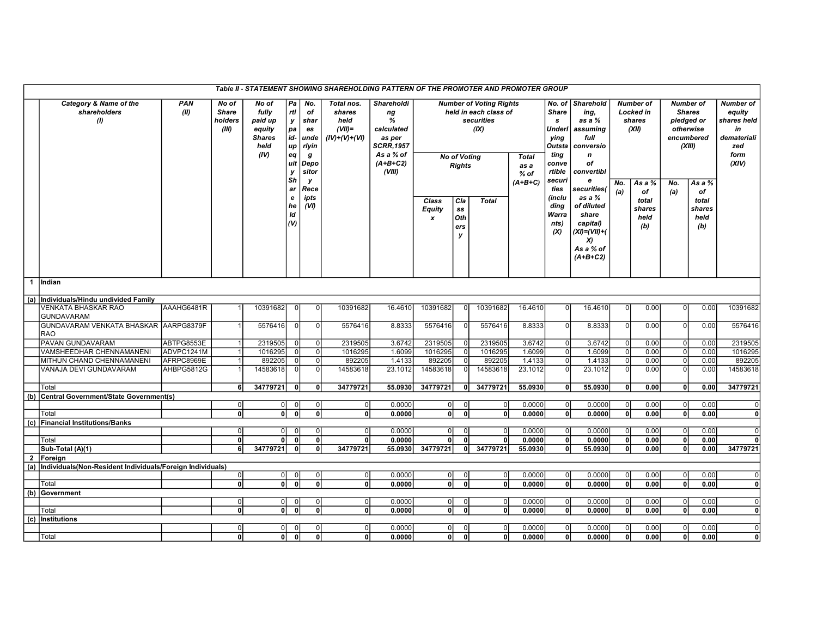| Table II - STATEMENT SHOWING SHAREHOLDING PATTERN OF THE PROMOTER AND PROMOTER GROUP<br>No. of |                                                                |             |                                           |                                                                      |                                                           |                                                                     |                                                              |                                                                                                 |                                     |                                                                                                                       |                |                                           |                                                          |                                                                                                                |                     |                                                  |                      |                                                                                      |                                                                                        |
|------------------------------------------------------------------------------------------------|----------------------------------------------------------------|-------------|-------------------------------------------|----------------------------------------------------------------------|-----------------------------------------------------------|---------------------------------------------------------------------|--------------------------------------------------------------|-------------------------------------------------------------------------------------------------|-------------------------------------|-----------------------------------------------------------------------------------------------------------------------|----------------|-------------------------------------------|----------------------------------------------------------|----------------------------------------------------------------------------------------------------------------|---------------------|--------------------------------------------------|----------------------|--------------------------------------------------------------------------------------|----------------------------------------------------------------------------------------|
|                                                                                                | Category & Name of the<br>shareholders<br>$\omega$             | PAN<br>(II) | No of<br><b>Share</b><br>holders<br>(III) | No of<br>fully<br>paid up<br>equity<br><b>Shares</b><br>held<br>(IV) | Pa<br>rtl<br>у<br>pa<br>id-<br>up<br>eq<br>uit<br>v<br>Sh | No.<br>of<br>shar<br>es<br>unde<br>rlyin<br>g<br>Depo<br>sitor<br>у | Total nos.<br>shares<br>held<br>$(VII)$ =<br>$(IV)+(V)+(VI)$ | Shareholdi<br>ng<br>%<br>calculated<br>as per<br>SCRR,1957<br>As a % of<br>$(A+B+C2)$<br>(VIII) |                                     | <b>Number of Voting Rights</b><br>held in each class of<br>securities<br>(IX)<br><b>No of Voting</b><br><b>Rights</b> |                | <b>Total</b><br>as a<br>% of<br>$(A+B+C)$ |                                                          | Sharehold<br>ing,<br>as a %<br>assuming<br>Underl<br>full<br>Outsta<br>conversio<br>n<br>of<br>convertibl<br>e |                     | <b>Number of</b><br>Locked in<br>shares<br>(XII) |                      | <b>Number of</b><br><b>Shares</b><br>pledged or<br>otherwise<br>encumbered<br>(XIII) | <b>Number of</b><br>equity<br>shares held<br>in<br>demateriali<br>zed<br>form<br>(XIV) |
|                                                                                                |                                                                |             |                                           |                                                                      | ar<br>e<br>he<br>ld<br>$\omega$                           | Rece<br>ipts<br>(VI)                                                |                                                              |                                                                                                 | Class<br><b>Equity</b><br>$\pmb{x}$ | Cla<br>$\textcolor{red}{\textbf{s}}\textcolor{blue}{\textbf{s}}$<br>Oth<br>ers<br>y                                   | <b>Total</b>   |                                           | securi<br>ties<br>(inclu<br>ding<br>Warra<br>nts)<br>(X) | securities(<br>as a %<br>of diluted<br>share<br>capital)<br>$(XI)=(VII)+($<br>X)<br>As a % of<br>$(A+B+C2)$    | No.<br>(a)          | As a %<br>of<br>total<br>shares<br>held<br>(b)   | No.<br>(a)           | As a %<br>of<br>total<br>shares<br>held<br>(b)                                       |                                                                                        |
|                                                                                                | 1 Indian                                                       |             |                                           |                                                                      |                                                           |                                                                     |                                                              |                                                                                                 |                                     |                                                                                                                       |                |                                           |                                                          |                                                                                                                |                     |                                                  |                      |                                                                                      |                                                                                        |
|                                                                                                | (a) Individuals/Hindu undivided Family                         |             |                                           |                                                                      |                                                           |                                                                     |                                                              |                                                                                                 |                                     |                                                                                                                       |                |                                           |                                                          |                                                                                                                |                     |                                                  |                      |                                                                                      |                                                                                        |
|                                                                                                | <b>VENKATA BHASKAR RAO</b>                                     | AAAHG6481R  | 1                                         | 10391682                                                             | O                                                         |                                                                     | 10391682                                                     | 16.4610                                                                                         | 10391682                            |                                                                                                                       | 10391682       | 16.4610                                   | $\overline{0}$                                           | 16.4610                                                                                                        | $\mathbf{0}$        | 0.00                                             | $\Omega$             | 0.00                                                                                 | 10391682                                                                               |
|                                                                                                | <b>GUNDAVARAM</b>                                              |             |                                           |                                                                      |                                                           |                                                                     |                                                              |                                                                                                 |                                     |                                                                                                                       |                |                                           |                                                          |                                                                                                                |                     |                                                  |                      |                                                                                      |                                                                                        |
|                                                                                                | GUNDAVARAM VENKATA BHASKAR AARPG8379F<br><b>RAO</b>            |             | 1                                         | 5576416                                                              | $\overline{0}$                                            | $\Omega$                                                            | 5576416                                                      | 8.8333                                                                                          | 5576416                             |                                                                                                                       | 5576416        | 8.8333                                    | $\overline{0}$                                           | 8.8333                                                                                                         | $\overline{0}$      | 0.00                                             | $\Omega$             | 0.00                                                                                 | 5576416                                                                                |
|                                                                                                | PAVAN GUNDAVARAM                                               | ABTPG8553E  | $\mathbf{1}$                              | 2319505                                                              |                                                           |                                                                     | 2319505                                                      | 3.6742                                                                                          | 2319505                             |                                                                                                                       | 2319505        | 3.6742                                    | $\overline{0}$                                           | 3.6742                                                                                                         | $\overline{0}$      | 0.00                                             |                      | 0.00                                                                                 | 2319505                                                                                |
|                                                                                                | VAMSHEEDHAR CHENNAMANENI                                       | ADVPC1241M  | 1                                         | 1016295                                                              |                                                           | 0l                                                                  | 1016295                                                      | 1.6099                                                                                          | 1016295                             |                                                                                                                       | 1016295        | 1.6099                                    | $\overline{0}$                                           | 1.6099                                                                                                         | $\overline{0}$      | 0.00                                             | $\overline{0}$       | 0.00                                                                                 | 1016295                                                                                |
|                                                                                                | MITHUN CHAND CHENNAMANENI                                      | AFRPC8969E  | 1                                         | 892205                                                               | $\Omega$                                                  | $\Omega$                                                            | 892205                                                       | 1.4133                                                                                          | 892205                              |                                                                                                                       | 892205         | 1.4133                                    | $\overline{0}$                                           | 1.4133                                                                                                         | $\mathbf 0$         | 0.00                                             | $\overline{0}$       | 0.00                                                                                 | 892205                                                                                 |
|                                                                                                | VANAJA DEVI GUNDAVARAM                                         | AHBPG5812G  |                                           | 14583618                                                             |                                                           |                                                                     | 14583618                                                     | 23.1012                                                                                         | 14583618                            |                                                                                                                       | 14583618       | 23.1012                                   | $\overline{0}$                                           | 23.1012                                                                                                        | $\overline{0}$      | 0.00                                             |                      | 0.00                                                                                 | 14583618                                                                               |
|                                                                                                | Total                                                          |             | 6                                         | 34779721                                                             | 0                                                         | 0l                                                                  | 34779721                                                     | 55.0930                                                                                         | 34779721                            | οI                                                                                                                    | 34779721       | 55.0930                                   | 0                                                        | 55.0930                                                                                                        | 0                   | 0.00                                             | 0                    | 0.00                                                                                 | 34779721                                                                               |
|                                                                                                | (b) Central Government/State Government(s)                     |             |                                           |                                                                      |                                                           |                                                                     |                                                              |                                                                                                 |                                     |                                                                                                                       |                |                                           |                                                          |                                                                                                                |                     |                                                  |                      |                                                                                      |                                                                                        |
|                                                                                                |                                                                |             | $\overline{0}$                            | 0                                                                    | $\Omega$                                                  |                                                                     | $\overline{0}$                                               | 0.0000                                                                                          | $\overline{0}$                      |                                                                                                                       | $\Omega$       | 0.0000                                    | $\overline{0}$                                           | 0.0000                                                                                                         | $\overline{0}$      | 0.00                                             | $\overline{0}$       | 0.00                                                                                 | $\Omega$                                                                               |
|                                                                                                | Total                                                          |             | $\overline{0}$                            | οI                                                                   | $\Omega$                                                  | U                                                                   | 0                                                            | 0.0000                                                                                          | 0                                   | $\Omega$                                                                                                              | 0              | 0.0000                                    | $\overline{0}$                                           | 0.0000                                                                                                         | $\overline{0}$      | 0.00                                             | $\mathbf{0}$         | 0.00                                                                                 | ٥l                                                                                     |
|                                                                                                | (c) Financial Institutions/Banks                               |             | $\overline{0}$                            | $\overline{0}$                                                       | 0                                                         | $\Omega$                                                            | $\overline{0}$                                               | 0.0000                                                                                          | $\overline{0}$                      |                                                                                                                       | $\Omega$       | 0.0000                                    | $\overline{0}$                                           | 0.0000                                                                                                         | $\overline{0}$      | 0.00                                             | 0                    | 0.00                                                                                 | 0                                                                                      |
|                                                                                                | Total                                                          |             | ٥I                                        | ΩI                                                                   | $\Omega$                                                  | 0l                                                                  | ΩI                                                           | 0.0000                                                                                          | οI                                  | $\Omega$                                                                                                              | 0.             | 0.0000                                    | $\mathbf{0}$                                             | 0.0000                                                                                                         | 0                   | 0.00                                             | 0                    | 0.00                                                                                 | ΩI                                                                                     |
|                                                                                                | Sub-Total (A)(1)                                               |             | 6                                         | 34779721                                                             | 0                                                         | 0                                                                   | 34779721                                                     | 55.0930                                                                                         | 34779721                            | 0                                                                                                                     | 34779721       | 55.0930                                   | 0                                                        | 55.0930                                                                                                        | 0                   | 0.00                                             | $\mathbf{0}$         | 0.00                                                                                 | 34779721                                                                               |
|                                                                                                | 2   Foreign                                                    |             |                                           |                                                                      |                                                           |                                                                     |                                                              |                                                                                                 |                                     |                                                                                                                       |                |                                           |                                                          |                                                                                                                |                     |                                                  |                      |                                                                                      |                                                                                        |
|                                                                                                | (a)  Individuals(Non-Resident Individuals/Foreign Individuals) |             |                                           |                                                                      |                                                           |                                                                     |                                                              |                                                                                                 |                                     |                                                                                                                       |                |                                           |                                                          |                                                                                                                |                     |                                                  |                      |                                                                                      |                                                                                        |
|                                                                                                |                                                                |             | $\overline{0}$                            | $\overline{0}$                                                       | $\Omega$                                                  |                                                                     | $\Omega$                                                     | 0.0000                                                                                          | $\overline{0}$                      |                                                                                                                       | $\Omega$       | 0.0000                                    | $\overline{0}$                                           | 0.0000                                                                                                         | $\overline{0}$      | 0.00                                             | $\mathbf 0$          | 0.00                                                                                 | $\Omega$                                                                               |
|                                                                                                | Total                                                          |             | $\mathbf{0}$                              | οI                                                                   | $\Omega$                                                  |                                                                     | 0l                                                           | 0.0000                                                                                          | 0                                   | $\Omega$                                                                                                              | 0              | 0.0000                                    | $\overline{0}$                                           | 0.0000                                                                                                         | $\overline{0}$      | 0.00                                             | οl                   | 0.00                                                                                 | οl                                                                                     |
|                                                                                                | (b) Government                                                 |             |                                           |                                                                      |                                                           |                                                                     |                                                              |                                                                                                 |                                     |                                                                                                                       |                |                                           |                                                          |                                                                                                                |                     |                                                  |                      |                                                                                      |                                                                                        |
|                                                                                                |                                                                |             | $\overline{0}$                            | $\overline{0}$                                                       | 0                                                         | 0                                                                   | $\overline{0}$                                               | 0.0000                                                                                          | 0                                   |                                                                                                                       | $\Omega$       | 0.0000                                    | $\overline{0}$                                           | 0.0000                                                                                                         | 0                   | 0.00                                             | 0                    | 0.00                                                                                 | 0                                                                                      |
|                                                                                                | Total                                                          |             | ٥I                                        | ΩI                                                                   | $\Omega$                                                  | ٥l                                                                  | 0                                                            | 0.0000                                                                                          | οI                                  |                                                                                                                       | 0              | 0.0000                                    | $\overline{0}$                                           | 0.0000                                                                                                         | 0                   | 0.00                                             | 0l                   | 0.00                                                                                 | 0                                                                                      |
|                                                                                                | (c) Institutions                                               |             |                                           |                                                                      |                                                           |                                                                     | $\overline{0}$                                               | 0.0000                                                                                          | 0I                                  |                                                                                                                       | $\overline{0}$ | 0.0000                                    | $\overline{0}$                                           | 0.0000                                                                                                         |                     |                                                  |                      |                                                                                      | $\overline{0}$                                                                         |
|                                                                                                | Total                                                          |             | $\overline{0}$<br>٥l                      | $\overline{0}$<br>0                                                  | $\mathbf{0}$                                              | $\mathbf{0}$                                                        | 0                                                            | 0.0000                                                                                          | οI                                  | $\mathbf{0}$                                                                                                          | 0              | 0.0000                                    | $\overline{0}$                                           | 0.0000                                                                                                         | $\overline{0}$<br>0 | 0.00<br>0.00                                     | $\overline{0}$<br>οl | 0.00<br>0.00                                                                         | 0                                                                                      |
|                                                                                                |                                                                |             |                                           |                                                                      |                                                           |                                                                     |                                                              |                                                                                                 |                                     |                                                                                                                       |                |                                           |                                                          |                                                                                                                |                     |                                                  |                      |                                                                                      |                                                                                        |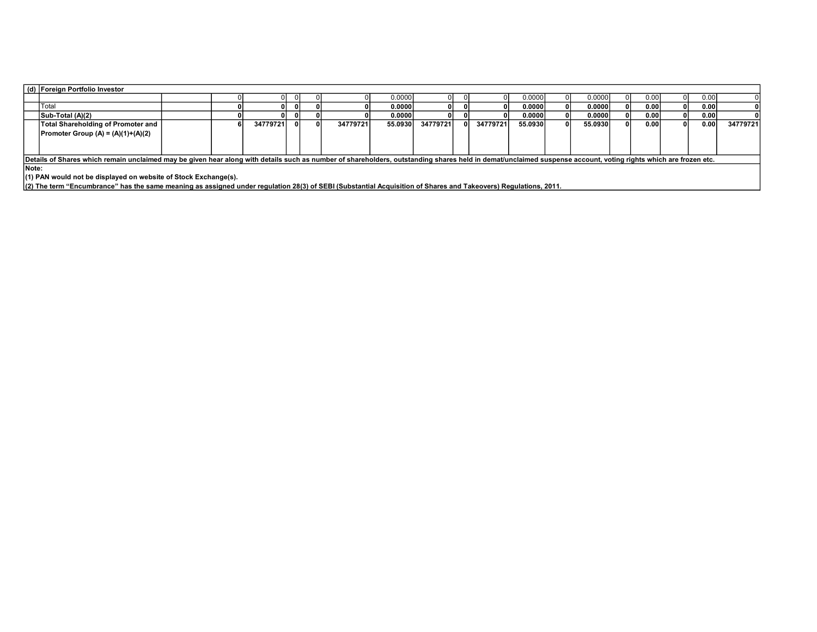| (d) Foreign Portfolio Investor                                                                                                                                                                                 |  |  |  |  |  |  |        |  |  |  |         |  |        |  |       |      |  |
|----------------------------------------------------------------------------------------------------------------------------------------------------------------------------------------------------------------|--|--|--|--|--|--|--------|--|--|--|---------|--|--------|--|-------|------|--|
|                                                                                                                                                                                                                |  |  |  |  |  |  | 0.0000 |  |  |  | 0.00001 |  | 0.0000 |  | 0.00  | 0.00 |  |
| <b>ITotal</b>                                                                                                                                                                                                  |  |  |  |  |  |  | 0.0000 |  |  |  | 0.00001 |  | 0.0000 |  | 0.001 | 0.00 |  |
| Sub-Total (A)(2)                                                                                                                                                                                               |  |  |  |  |  |  | 0.0000 |  |  |  | 0.00001 |  | 0.0000 |  | 0.001 | 0.00 |  |
| Total Shareholding of Promoter and<br>34779721<br>34779721<br>34779721<br>34779721<br>55.0930<br>34779721<br>55.0930<br>55.0930<br>0.00<br>0.001                                                               |  |  |  |  |  |  |        |  |  |  |         |  |        |  |       |      |  |
| $\textsf{Promoter Group (A)} = \textsf{(A)} \cdot \textsf{(1)} \cdot \textsf{(A)} \cdot \textsf{(2)}$                                                                                                          |  |  |  |  |  |  |        |  |  |  |         |  |        |  |       |      |  |
|                                                                                                                                                                                                                |  |  |  |  |  |  |        |  |  |  |         |  |        |  |       |      |  |
|                                                                                                                                                                                                                |  |  |  |  |  |  |        |  |  |  |         |  |        |  |       |      |  |
| Details of Shares which remain unclaimed may be given hear along with details such as number of shareholders, outstanding shares held in demat/unclaimed suspense account, voting rights which are frozen etc. |  |  |  |  |  |  |        |  |  |  |         |  |        |  |       |      |  |
| <b>Note:</b>                                                                                                                                                                                                   |  |  |  |  |  |  |        |  |  |  |         |  |        |  |       |      |  |
| $(1)$ PAN would not be displayed on website of Stock Exchange(s).                                                                                                                                              |  |  |  |  |  |  |        |  |  |  |         |  |        |  |       |      |  |
| [20] The term "Encumbrance" has the same meaning as assigned under regulation 28(3) of SEBI (Substantial Acquisition of Shares and Takeovers) Regulations, 2011.                                               |  |  |  |  |  |  |        |  |  |  |         |  |        |  |       |      |  |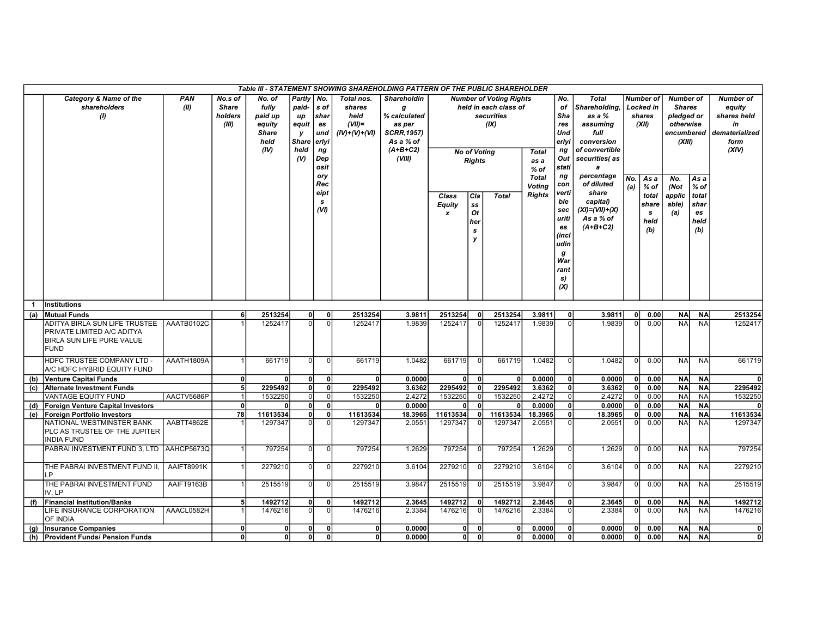| Table III - STATEMENT SHOWING SHAREHOLDING PATTERN OF THE PUBLIC SHAREHOLDER |                                                                                                                       |                    |                                             |                                                                      |                                                                    |                                                                       |                                                              |                                                                                                              |                                            |                                             |                                                                                                      |                                                |                                                                                             |                                                                                                                                 |                |                                                      |                                                                                      |                                                      |                                                                                    |
|------------------------------------------------------------------------------|-----------------------------------------------------------------------------------------------------------------------|--------------------|---------------------------------------------|----------------------------------------------------------------------|--------------------------------------------------------------------|-----------------------------------------------------------------------|--------------------------------------------------------------|--------------------------------------------------------------------------------------------------------------|--------------------------------------------|---------------------------------------------|------------------------------------------------------------------------------------------------------|------------------------------------------------|---------------------------------------------------------------------------------------------|---------------------------------------------------------------------------------------------------------------------------------|----------------|------------------------------------------------------|--------------------------------------------------------------------------------------|------------------------------------------------------|------------------------------------------------------------------------------------|
|                                                                              | Category & Name of the<br>shareholders<br>(1)                                                                         | <b>PAN</b><br>(II) | No.s of<br><b>Share</b><br>holders<br>(III) | No. of<br>fully<br>paid up<br>equity<br><b>Share</b><br>held<br>(IV) | Partly<br>paid-<br>up<br>equit<br>y<br><b>Share</b><br>held<br>(V) | No.<br>s of<br>shar<br>es<br>und<br>erlyi<br>ng<br>Dep<br>osit<br>ory | Total nos.<br>shares<br>held<br>$(VII)$ =<br>$(IV)+(V)+(VI)$ | <b>Shareholdin</b><br>g<br>% calculated<br>as per<br><b>SCRR, 1957)</b><br>As a % of<br>$(A+B+C2)$<br>(VIII) |                                            | <b>Rights</b>                               | <b>Number of Voting Rights</b><br>held in each class of<br>securities<br>(IX)<br><b>No of Voting</b> | <b>Total</b><br>as a<br>$%$ of                 | No.<br>of<br>Sha<br>res<br>Und<br>erlyi<br>ng<br>Out<br>stati<br>ng                         | <b>Total</b><br>Shareholding,<br>as a %<br>assuming<br>full<br>conversion<br>of convertible<br>securities(as<br>a<br>percentage |                | <b>Number of</b><br>Locked in<br>shares<br>(XII)     | <b>Number of</b><br><b>Shares</b><br>pledged or<br>otherwise<br>encumbered<br>(XIII) |                                                      | <b>Number of</b><br>equity<br>shares held<br>in<br>dematerialized<br>form<br>(XIV) |
|                                                                              |                                                                                                                       |                    |                                             |                                                                      |                                                                    | Rec<br>eipt<br>s<br>(VI)                                              |                                                              |                                                                                                              | Class<br><b>Equity</b><br>$\boldsymbol{x}$ | Cla<br>SS<br>Ot<br>her<br>$\mathbf{s}$<br>y | <b>Total</b>                                                                                         | <b>Total</b><br><b>Voting</b><br><b>Rights</b> | con<br>verti<br>ble<br>sec<br>uriti<br>es<br>(incl<br>udin<br>g<br>War<br>rant<br>s)<br>(X) | of diluted<br>share<br>capital)<br>$(XI) = (VII) + (X)$<br>As a % of<br>$(A+B+C2)$                                              | No.<br>(a)     | As a<br>$%$ of<br>total<br>share<br>s<br>held<br>(b) | No.<br>(Not<br>applic<br>able)<br>(a)                                                | As a<br>$%$ of<br>total<br>shar<br>es<br>held<br>(b) |                                                                                    |
| $\mathbf{1}$                                                                 | <b>Institutions</b>                                                                                                   |                    |                                             |                                                                      |                                                                    |                                                                       |                                                              |                                                                                                              |                                            |                                             |                                                                                                      |                                                |                                                                                             |                                                                                                                                 |                |                                                      |                                                                                      |                                                      |                                                                                    |
| (a)                                                                          | <b>Mutual Funds</b><br>ADITYA BIRLA SUN LIFE TRUSTEE                                                                  | AAATB0102C         | 6                                           | 2513254<br>1252417                                                   | 0<br>$\Omega$                                                      | 0l<br>ΩI                                                              | 2513254<br>1252417                                           | 3.9811<br>1.9839                                                                                             | 2513254<br>1252417                         | 0<br>$\Omega$                               | 2513254<br>1252417                                                                                   | 3.9811<br>1.9839                               | 0l<br>$\Omega$                                                                              | 3.9811<br>1.9839                                                                                                                | 0l<br>$\Omega$ | 0.00<br>0.00                                         | <b>NA</b><br><b>NA</b>                                                               | <b>NA</b><br><b>NA</b>                               | 2513254<br>1252417                                                                 |
|                                                                              | PRIVATE LIMITED A/C ADITYA<br>BIRLA SUN LIFE PURE VALUE<br><b>FUND</b>                                                |                    |                                             |                                                                      |                                                                    |                                                                       |                                                              |                                                                                                              |                                            |                                             |                                                                                                      |                                                |                                                                                             |                                                                                                                                 |                |                                                      |                                                                                      |                                                      |                                                                                    |
|                                                                              | HDFC TRUSTEE COMPANY LTD -<br>A/C HDFC HYBRID EQUITY FUND                                                             | AAATH1809A         | 1                                           | 661719                                                               | $\overline{0}$                                                     | $\Omega$                                                              | 661719                                                       | 1.0482                                                                                                       | 661719                                     |                                             | 661719                                                                                               | 1.0482                                         | $\Omega$                                                                                    | 1.0482                                                                                                                          |                | 0.00                                                 | <b>NA</b>                                                                            | <b>NA</b>                                            | 661719                                                                             |
| (b)                                                                          | <b>Venture Capital Funds</b>                                                                                          |                    | $\mathbf{0}$                                |                                                                      | 0                                                                  | $\Omega$                                                              |                                                              | 0.0000                                                                                                       | $\mathbf{0}$                               | 0                                           | $\mathbf{0}$                                                                                         | 0.0000                                         | 0                                                                                           | 0.0000                                                                                                                          | $\mathbf{0}$   | 0.00                                                 | <b>NA</b>                                                                            | <b>NA</b>                                            | 0l                                                                                 |
| (c)                                                                          | <b>Alternate Investment Funds</b>                                                                                     |                    | 5 <sub>5</sub>                              | 2295492                                                              | $\mathbf{0}$                                                       | οl                                                                    | 2295492                                                      | 3.6362                                                                                                       | 2295492                                    | $\mathbf{0}$                                | 2295492                                                                                              | 3.6362                                         | 0l                                                                                          | 3.6362                                                                                                                          | 0l             | 0.00                                                 | <b>NA</b>                                                                            | <b>NA</b>                                            | 2295492                                                                            |
|                                                                              | <b>VANTAGE EQUITY FUND</b>                                                                                            | AACTV5686P         | $\vert$ 1                                   | 1532250                                                              | $\overline{0}$                                                     | οI                                                                    | 1532250                                                      | 2.4272                                                                                                       | 1532250                                    | 0                                           | 1532250                                                                                              | 2.4272                                         | $\Omega$                                                                                    | 2.4272                                                                                                                          | $\Omega$       | 0.00                                                 | <b>NA</b>                                                                            | NA                                                   | 1532250                                                                            |
| (d)                                                                          | <b>Foreign Venture Capital Investors</b>                                                                              |                    | $\mathbf{0}$                                |                                                                      | $\mathbf{0}$                                                       | ٥I                                                                    |                                                              | 0.0000                                                                                                       | $\Omega$                                   | $\mathbf{0}$                                |                                                                                                      | 0.0000                                         | 0                                                                                           | 0.0000                                                                                                                          | 0              | 0.00                                                 | <b>NA</b>                                                                            | <b>NA</b>                                            | $\Omega$                                                                           |
| (e)                                                                          | <b>Foreign Portfolio Investors</b><br>NATIONAL WESTMINSTER BANK<br>PLC AS TRUSTEE OF THE JUPITER<br><b>INDIA FUND</b> | AABTT4862E         | 78                                          | 11613534<br>1297347                                                  | 0<br>$\overline{0}$                                                | ٥I<br>$\Omega$                                                        | 11613534<br>1297347                                          | 18.3965<br>2.0551                                                                                            | 11613534<br>1297347                        | οl<br>$\Omega$                              | 11613534<br>1297347                                                                                  | 18.3965<br>2.0551                              | 0l<br>0l                                                                                    | 18.3965<br>2.0551                                                                                                               | ٥I<br>U        | 0.00<br>0.00                                         | <b>NA</b><br><b>NA</b>                                                               | <b>NA</b><br><b>NA</b>                               | 11613534<br>1297347                                                                |
|                                                                              | PABRAI INVESTMENT FUND 3, LTD                                                                                         | AAHCP5673Q         | $\vert$                                     | 797254                                                               | 0l                                                                 | 0I                                                                    | 797254                                                       | 1.2629                                                                                                       | 797254                                     |                                             | 797254                                                                                               | 1.2629                                         | $\Omega$                                                                                    | 1.2629                                                                                                                          | $\Omega$       | 0.00                                                 | NA                                                                                   | <b>NA</b>                                            | 797254                                                                             |
|                                                                              | THE PABRAI INVESTMENT FUND II.<br>LP                                                                                  | AAIFT8991K         |                                             | 2279210                                                              | $\overline{0}$                                                     | $\overline{0}$                                                        | 2279210                                                      | 3.6104                                                                                                       | 2279210                                    |                                             | 2279210                                                                                              | 3.6104                                         | $\Omega$                                                                                    | 3.6104                                                                                                                          |                | 0.00                                                 | <b>NA</b>                                                                            | <b>NA</b>                                            | 2279210                                                                            |
|                                                                              | THE PABRAI INVESTMENT FUND<br>IV. LP                                                                                  | AAIFT9163B         | $\mathbf{1}$                                | 2515519                                                              | 0                                                                  | $\Omega$                                                              | 2515519                                                      | 3.9847                                                                                                       | 2515519                                    |                                             | 2515519                                                                                              | 3.9847                                         | $\Omega$                                                                                    | 3.9847                                                                                                                          | n              | 0.00                                                 | <b>NAI</b>                                                                           | <b>NA</b>                                            | 2515519                                                                            |
| (f)                                                                          | <b>Financial Institution/Banks</b>                                                                                    |                    | 5 <sub>5</sub>                              | 1492712                                                              | 0                                                                  | 0                                                                     | 1492712                                                      | 2.3645                                                                                                       | 1492712                                    | $\mathbf{0}$                                | 1492712                                                                                              | 2.3645                                         | 0l                                                                                          | 2.3645                                                                                                                          |                | 0.00                                                 | <b>NA</b>                                                                            | <b>NA</b>                                            | 1492712                                                                            |
|                                                                              | LIFE INSURANCE CORPORATION<br>AAACL0582H<br>OF INDIA                                                                  |                    |                                             | 1476216                                                              | $\Omega$                                                           | $\Omega$                                                              | 1476216                                                      | 2.3384                                                                                                       | 1476216                                    |                                             | 1476216                                                                                              | 2.3384                                         |                                                                                             | 2.3384                                                                                                                          |                | 0.00                                                 | <b>NA</b>                                                                            | <b>NA</b>                                            | 1476216                                                                            |
| (g)                                                                          | <b>Insurance Companies</b>                                                                                            |                    | 0                                           | 0                                                                    | 0                                                                  | ٥I                                                                    | $\mathbf{0}$                                                 | 0.0000                                                                                                       | 0l                                         | $\mathbf 0$                                 | $\mathbf{0}$                                                                                         | 0.0000                                         | 0                                                                                           | 0.0000                                                                                                                          | 0l             | 0.00                                                 | <b>NA</b>                                                                            | <b>NA</b>                                            | 0l                                                                                 |
|                                                                              | (h) Provident Funds/ Pension Funds                                                                                    |                    | $\mathbf{0}$                                | 0                                                                    | 0                                                                  | οl                                                                    | 0                                                            | 0.0000                                                                                                       | 0l                                         | $\Omega$                                    | 0                                                                                                    | 0.0000                                         | 0l                                                                                          | 0.0000                                                                                                                          | 0              | 0.00                                                 | <b>NA</b>                                                                            | <b>NA</b>                                            | 0                                                                                  |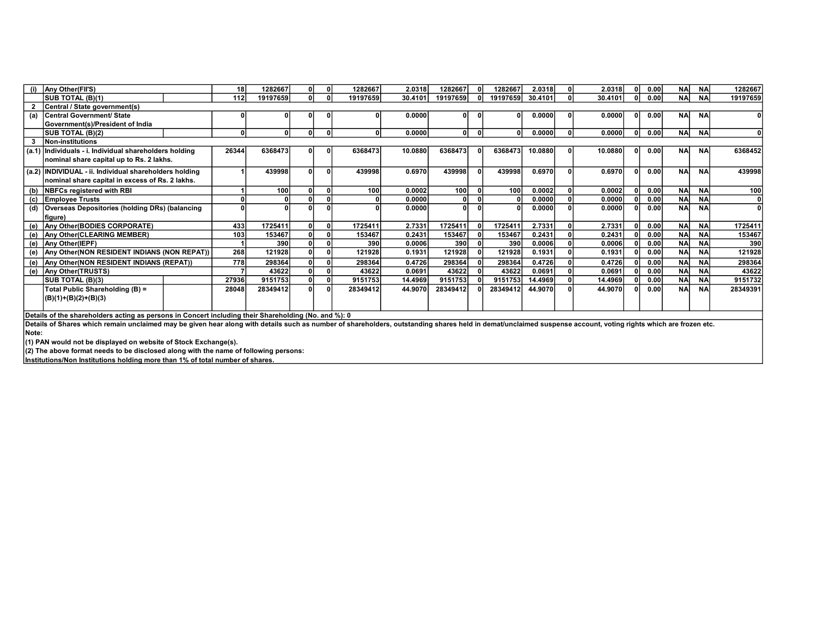|       | (i) Any Other(FII'S)                                                                                                                                                                                           |       | 1282667<br>18 <sup>1</sup> |  |  | 1282667  | 2.0318  | 1282667          |          | 1282667  | 2.0318  | $\Omega$ | 2.0318  |  | 0.00 | <b>NA</b>  | <b>NA</b> | 1282667  |
|-------|----------------------------------------------------------------------------------------------------------------------------------------------------------------------------------------------------------------|-------|----------------------------|--|--|----------|---------|------------------|----------|----------|---------|----------|---------|--|------|------------|-----------|----------|
|       | SUB TOTAL (B)(1)                                                                                                                                                                                               | 112   | 19197659                   |  |  | 19197659 | 30.4101 | 19197659         | 0l       | 19197659 | 30.4101 | ΩI       | 30.4101 |  | 0.00 | <b>NA</b>  | <b>NA</b> | 19197659 |
|       | Central / State government(s)                                                                                                                                                                                  |       |                            |  |  |          |         |                  |          |          |         |          |         |  |      |            |           |          |
| (a)   | <b>Central Government/ State</b>                                                                                                                                                                               |       |                            |  |  |          | 0.0000  | 01               |          |          | 0.0000  |          | 0.0000  |  | 0.00 | <b>NAI</b> | <b>NA</b> |          |
|       | Government(s)/President of India                                                                                                                                                                               |       |                            |  |  |          |         |                  |          |          |         |          |         |  |      |            |           |          |
|       | SUB TOTAL (B)(2)                                                                                                                                                                                               |       | $\mathbf{0}$<br>0          |  |  |          | 0.0000  | οI               | 0.       |          | 0.0000  | $\Omega$ | 0.0000  |  | 0.00 | <b>NA</b>  | <b>NA</b> |          |
|       | Non-institutions                                                                                                                                                                                               |       |                            |  |  |          |         |                  |          |          |         |          |         |  |      |            |           |          |
| (a.1) | Individuals - i. Individual shareholders holding                                                                                                                                                               | 26344 | 6368473                    |  |  | 6368473  | 10.0880 | 6368473          | 01       | 6368473  | 10.0880 | n        | 10.0880 |  | 0.00 | <b>NA</b>  | <b>NA</b> | 6368452  |
|       | nominal share capital up to Rs. 2 lakhs.                                                                                                                                                                       |       |                            |  |  |          |         |                  |          |          |         |          |         |  |      |            |           |          |
|       | (a.2) INDIVIDUAL - ii. Individual shareholders holding                                                                                                                                                         |       | 439998                     |  |  | 439998   | 0.6970  | 439998           | ΩI       | 439998   | 0.6970  |          | 0.6970  |  | 0.00 | <b>NA</b>  | <b>NA</b> | 439998   |
|       | nominal share capital in excess of Rs. 2 lakhs.                                                                                                                                                                |       |                            |  |  |          |         |                  |          |          |         |          |         |  |      |            |           |          |
| (b)   | <b>NBFCs registered with RBI</b>                                                                                                                                                                               |       | 100                        |  |  | 100      | 0.0002  | 100 <sup>1</sup> | $\Omega$ | 100      | 0.0002  | 0l       | 0.0002  |  | 0.00 | <b>NA</b>  | <b>NA</b> | 100      |
| (c)   | <b>Employee Trusts</b>                                                                                                                                                                                         |       |                            |  |  |          | 0.0000  | οl               |          |          | 0.0000  |          | 0.0000  |  | 0.00 | <b>NA</b>  | <b>NA</b> |          |
| (d)   | <b>Overseas Depositories (holding DRs) (balancing</b>                                                                                                                                                          |       |                            |  |  |          | 0.0000  | ΩI               |          |          | 0.0000  |          | 0.0000  |  | 0.00 | <b>NA</b>  | <b>NA</b> |          |
|       | Ifiaure)                                                                                                                                                                                                       |       |                            |  |  |          |         |                  |          |          |         |          |         |  |      |            |           |          |
| (e)   | Any Other (BODIES CORPORATE)                                                                                                                                                                                   | 433   | 1725411                    |  |  | 1725411  | 2.7331  | 1725411          | 0l       | 1725411  | 2.7331  |          | 2.7331  |  | 0.00 | <b>NA</b>  | <b>NA</b> | 1725411  |
|       | (e) Any Other(CLEARING MEMBER)                                                                                                                                                                                 | 103   | 153467                     |  |  | 153467   | 0.2431  | 153467           |          | 153467   | 0.2431  |          | 0.2431  |  | 0.00 | <b>NA</b>  | <b>NA</b> | 153467   |
|       | (e) Any Other(IEPF)                                                                                                                                                                                            |       | 390                        |  |  | 390      | 0.0006  | 390l             |          | 390      | 0.0006  |          | 0.0006  |  | 0.00 | <b>NA</b>  | <b>NA</b> | 390      |
|       | (e) Any Other (NON RESIDENT INDIANS (NON REPAT))                                                                                                                                                               | 268   | 121928                     |  |  | 121928   | 0.1931  | 121928           |          | 121928   | 0.1931  |          | 0.1931  |  | 0.00 | <b>NA</b>  | <b>NA</b> | 121928   |
|       | (e) Any Other (NON RESIDENT INDIANS (REPAT))                                                                                                                                                                   | 778   | 298364                     |  |  | 298364   | 0.4726  | 298364           |          | 298364   | 0.4726  |          | 0.4726  |  | 0.00 | <b>NA</b>  | <b>NA</b> | 298364   |
|       | (e) Any Other(TRUSTS)                                                                                                                                                                                          |       | 43622                      |  |  | 43622    | 0.0691  | 43622            |          | 43622    | 0.0691  |          | 0.0691  |  | 0.00 | <b>NA</b>  | <b>NA</b> | 43622    |
|       | SUB TOTAL (B)(3)                                                                                                                                                                                               | 27936 | 9151753                    |  |  | 9151753  | 14.4969 | 9151753          |          | 9151753  | 14.4969 |          | 14.4969 |  | 0.00 | <b>NA</b>  | <b>NA</b> | 9151732  |
|       | Total Public Shareholding (B) =                                                                                                                                                                                | 28048 | 28349412                   |  |  | 28349412 | 44.9070 | 28349412         |          | 28349412 | 44.9070 |          | 44.9070 |  | 0.00 | <b>NA</b>  | <b>NA</b> | 28349391 |
|       | $(B)(1)+(B)(2)+(B)(3)$                                                                                                                                                                                         |       |                            |  |  |          |         |                  |          |          |         |          |         |  |      |            |           |          |
|       |                                                                                                                                                                                                                |       |                            |  |  |          |         |                  |          |          |         |          |         |  |      |            |           |          |
|       | Details of the shareholders acting as persons in Concert including their Shareholding (No. and %): 0                                                                                                           |       |                            |  |  |          |         |                  |          |          |         |          |         |  |      |            |           |          |
|       | Details of Shares which remain unclaimed may be given hear along with details such as number of shareholders, outstanding shares held in demat/unclaimed suspense account, voting rights which are frozen etc. |       |                            |  |  |          |         |                  |          |          |         |          |         |  |      |            |           |          |

Note:

(1) PAN would not be displayed on website of Stock Exchange(s).

(2) The above format needs to be disclosed along with the name of following persons:

Institutions/Non Institutions holding more than 1% of total number of shares.